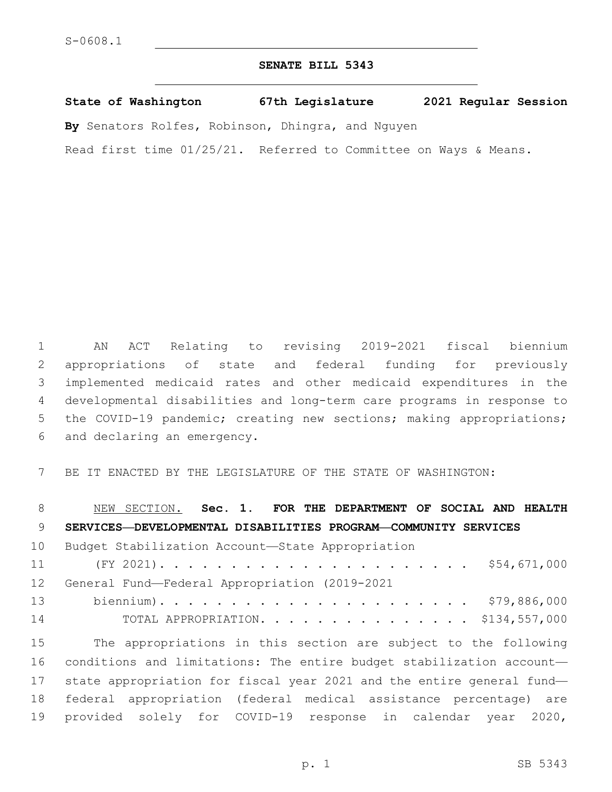## **SENATE BILL 5343**

**State of Washington 67th Legislature 2021 Regular Session**

**By** Senators Rolfes, Robinson, Dhingra, and Nguyen

Read first time 01/25/21. Referred to Committee on Ways & Means.

 AN ACT Relating to revising 2019-2021 fiscal biennium appropriations of state and federal funding for previously implemented medicaid rates and other medicaid expenditures in the developmental disabilities and long-term care programs in response to the COVID-19 pandemic; creating new sections; making appropriations; 6 and declaring an emergency.

BE IT ENACTED BY THE LEGISLATURE OF THE STATE OF WASHINGTON:

 NEW SECTION. **Sec. 1. FOR THE DEPARTMENT OF SOCIAL AND HEALTH SERVICES—DEVELOPMENTAL DISABILITIES PROGRAM—COMMUNITY SERVICES** 10 Budget Stabilization Account—State Appropriation (FY 2021). . . . . . . . . . . . . . . . . . . . . . \$54,671,000 12 General Fund-Federal Appropriation (2019-2021 biennium). . . . . . . . . . . . . . . . . . . . . . \$79,886,000 TOTAL APPROPRIATION. . . . . . . . . . . . . . . \$134,557,000 The appropriations in this section are subject to the following conditions and limitations: The entire budget stabilization account— state appropriation for fiscal year 2021 and the entire general fund— federal appropriation (federal medical assistance percentage) are provided solely for COVID-19 response in calendar year 2020,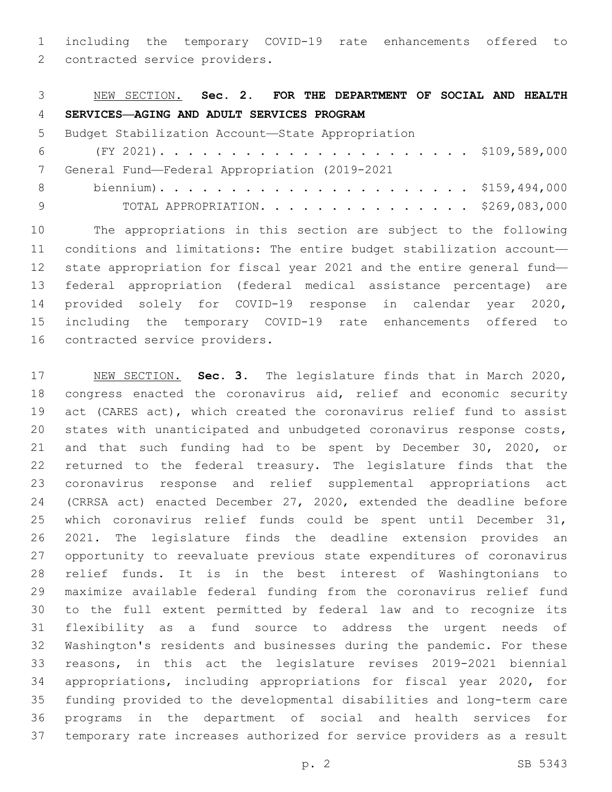including the temporary COVID-19 rate enhancements offered to

2 contracted service providers.

| 3               | NEW SECTION. Sec. 2. FOR THE DEPARTMENT OF SOCIAL AND HEALTH          |
|-----------------|-----------------------------------------------------------------------|
| 4               | SERVICES-AGING AND ADULT SERVICES PROGRAM                             |
| 5               | Budget Stabilization Account-State Appropriation                      |
| 6               |                                                                       |
| 7               | General Fund-Federal Appropriation (2019-2021                         |
| 8               |                                                                       |
| 9               | TOTAL APPROPRIATION. \$269,083,000                                    |
| 10              | The appropriations in this section are subject to the following       |
| 11              | conditions and limitations: The entire budget stabilization account-  |
| 12 <sup>°</sup> | state appropriation for fiscal year 2021 and the entire general fund- |
| 1 2             | $f_{\Omega}$                                                          |

 federal appropriation (federal medical assistance percentage) are provided solely for COVID-19 response in calendar year 2020, including the temporary COVID-19 rate enhancements offered to 16 contracted service providers.

 NEW SECTION. **Sec. 3.** The legislature finds that in March 2020, congress enacted the coronavirus aid, relief and economic security act (CARES act), which created the coronavirus relief fund to assist states with unanticipated and unbudgeted coronavirus response costs, and that such funding had to be spent by December 30, 2020, or returned to the federal treasury. The legislature finds that the coronavirus response and relief supplemental appropriations act (CRRSA act) enacted December 27, 2020, extended the deadline before which coronavirus relief funds could be spent until December 31, 2021. The legislature finds the deadline extension provides an opportunity to reevaluate previous state expenditures of coronavirus relief funds. It is in the best interest of Washingtonians to maximize available federal funding from the coronavirus relief fund to the full extent permitted by federal law and to recognize its flexibility as a fund source to address the urgent needs of Washington's residents and businesses during the pandemic. For these reasons, in this act the legislature revises 2019-2021 biennial appropriations, including appropriations for fiscal year 2020, for funding provided to the developmental disabilities and long-term care programs in the department of social and health services for temporary rate increases authorized for service providers as a result